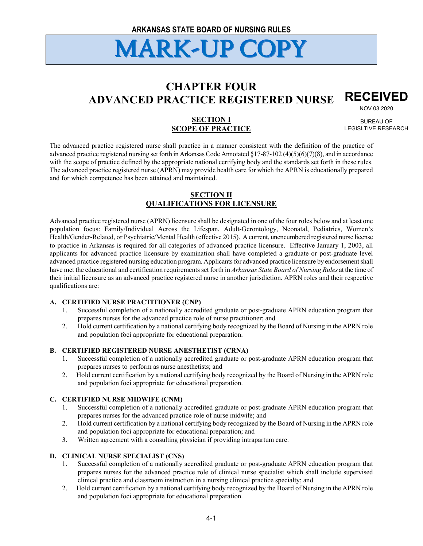## **CHAPTER FOUR ADVANCED PRACTICE REGISTERED NURSE RECEIVED**

NOV 03 2020

## **SECTION I SCOPE OF PRACTICE**

BUREAU OF LEGISLTIVE RESEARCH

The advanced practice registered nurse shall practice in a manner consistent with the definition of the practice of advanced practice registered nursing set forth in Arkansas Code Annotated  $\S17-87-102(4)(5)(6)(7)(8)$ , and in accordance with the scope of practice defined by the appropriate national certifying body and the standards set forth in these rules. The advanced practice registered nurse (APRN) may provide health care for which the APRN is educationally prepared and for which competence has been attained and maintained.

## **SECTION II QUALIFICATIONS FOR LICENSURE**

Advanced practice registered nurse (APRN) licensure shall be designated in one of the four roles below and at least one population focus: Family/Individual Across the Lifespan, Adult-Gerontology, Neonatal, Pediatrics, Women's Health/Gender-Related, or Psychiatric/Mental Health (effective 2015). A current, unencumbered registered nurse license to practice in Arkansas is required for all categories of advanced practice licensure. Effective January 1, 2003, all applicants for advanced practice licensure by examination shall have completed a graduate or post-graduate level advanced practice registered nursing education program. Applicants for advanced practice licensure by endorsement shall have met the educational and certification requirements set forth in *Arkansas State Board of Nursing Rules* at the time of their initial licensure as an advanced practice registered nurse in another jurisdiction. APRN roles and their respective qualifications are:

## **A. CERTIFIED NURSE PRACTITIONER (CNP)**

- 1. Successful completion of a nationally accredited graduate or post-graduate APRN education program that prepares nurses for the advanced practice role of nurse practitioner; and
- 2. Hold current certification by a national certifying body recognized by the Board of Nursing in the APRN role and population foci appropriate for educational preparation.

## **B. CERTIFIED REGISTERED NURSE ANESTHETIST (CRNA)**

- 1. Successful completion of a nationally accredited graduate or post-graduate APRN education program that prepares nurses to perform as nurse anesthetists; and
- 2. Hold current certification by a national certifying body recognized by the Board of Nursing in the APRN role and population foci appropriate for educational preparation.

## **C. CERTIFIED NURSE MIDWIFE (CNM)**

- 1. Successful completion of a nationally accredited graduate or post-graduate APRN education program that prepares nurses for the advanced practice role of nurse midwife; and
- 2. Hold current certification by a national certifying body recognized by the Board of Nursing in the APRN role and population foci appropriate for educational preparation; and
- 3. Written agreement with a consulting physician if providing intrapartum care.

## **D. CLINICAL NURSE SPECIALIST (CNS)**

- 1. Successful completion of a nationally accredited graduate or post-graduate APRN education program that prepares nurses for the advanced practice role of clinical nurse specialist which shall include supervised clinical practice and classroom instruction in a nursing clinical practice specialty; and
- 2. Hold current certification by a national certifying body recognized by the Board of Nursing in the APRN role and population foci appropriate for educational preparation.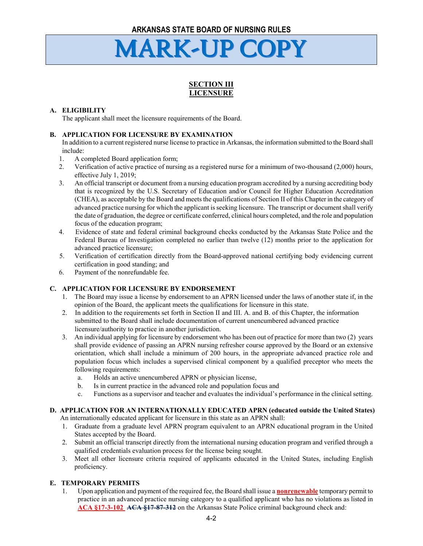## **SECTION III LICENSURE**

## **A. ELIGIBILITY**

The applicant shall meet the licensure requirements of the Board.

## **B. APPLICATION FOR LICENSURE BY EXAMINATION**

In addition to a current registered nurse license to practice in Arkansas, the information submitted to the Board shall include:

- 1. A completed Board application form;
- 2. Verification of active practice of nursing as a registered nurse for a minimum of two-thousand (2,000) hours, effective July 1, 2019;
- 3. An official transcript or document from a nursing education program accredited by a nursing accrediting body that is recognized by the U.S. Secretary of Education and/or Council for Higher Education Accreditation (CHEA), as acceptable by the Board and meets the qualifications of Section II of this Chapter in the category of advanced practice nursing for which the applicant is seeking licensure. The transcript or document shall verify the date of graduation, the degree or certificate conferred, clinical hours completed, and the role and population focus of the education program;
- 4. Evidence of state and federal criminal background checks conducted by the Arkansas State Police and the Federal Bureau of Investigation completed no earlier than twelve (12) months prior to the application for advanced practice licensure;
- 5. Verification of certification directly from the Board-approved national certifying body evidencing current certification in good standing; and
- 6. Payment of the nonrefundable fee.

## **C. APPLICATION FOR LICENSURE BY ENDORSEMENT**

- 1. The Board may issue a license by endorsement to an APRN licensed under the laws of another state if, in the opinion of the Board, the applicant meets the qualifications for licensure in this state.
- 2. In addition to the requirements set forth in Section II and III. A. and B. of this Chapter, the information submitted to the Board shall include documentation of current unencumbered advanced practice licensure/authority to practice in another jurisdiction.
- 3. An individual applying for licensure by endorsement who has been out of practice for more than two (2) years shall provide evidence of passing an APRN nursing refresher course approved by the Board or an extensive orientation, which shall include a minimum of 200 hours, in the appropriate advanced practice role and population focus which includes a supervised clinical component by a qualified preceptor who meets the following requirements:
	- a. Holds an active unencumbered APRN or physician license,
	- b. Is in current practice in the advanced role and population focus and
	- c. Functions as a supervisor and teacher and evaluates the individual's performance in the clinical setting.

#### **D. APPLICATION FOR AN INTERNATIONALLY EDUCATED APRN (educated outside the United States)** An internationally educated applicant for licensure in this state as an APRN shall:

- 1. Graduate from a graduate level APRN program equivalent to an APRN educational program in the United States accepted by the Board.
- 2. Submit an official transcript directly from the international nursing education program and verified through a qualified credentials evaluation process for the license being sought.
- 3. Meet all other licensure criteria required of applicants educated in the United States, including English proficiency.

## **E. TEMPORARY PERMITS**

1. Upon application and payment of the required fee, the Board shall issue a **nonrenewable** temporary permit to practice in an advanced practice nursing category to a qualified applicant who has no violations as listed in **ACA §17-3-102 ACA §17-87-312** on the Arkansas State Police criminal background check and: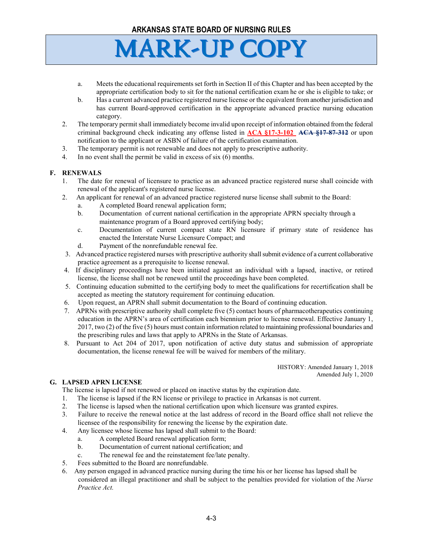

- a. Meets the educational requirements set forth in Section II of this Chapter and has been accepted by the appropriate certification body to sit for the national certification exam he or she is eligible to take; or
- b. Has a current advanced practice registered nurse license or the equivalent from another jurisdiction and has current Board-approved certification in the appropriate advanced practice nursing education category.
- 2. The temporary permit shall immediately become invalid upon receipt of information obtained from the federal criminal background check indicating any offense listed in **ACA §17-3-102 ACA §17-87-312** or upon notification to the applicant or ASBN of failure of the certification examination.
- 3. The temporary permit is not renewable and does not apply to prescriptive authority.
- 4. In no event shall the permit be valid in excess of six (6) months.

### **F. RENEWALS**

- 1. The date for renewal of licensure to practice as an advanced practice registered nurse shall coincide with renewal of the applicant's registered nurse license.
- 2. An applicant for renewal of an advanced practice registered nurse license shall submit to the Board:
	- a. A completed Board renewal application form;
	- b. Documentation of current national certification in the appropriate APRN specialty through a maintenance program of a Board approved certifying body;
	- c. Documentation of current compact state RN licensure if primary state of residence has enacted the Interstate Nurse Licensure Compact; and
	- d. Payment of the nonrefundable renewal fee.
- 3. Advanced practice registered nurses with prescriptive authority shall submit evidence of a current collaborative practice agreement as a prerequisite to license renewal.
- 4. If disciplinary proceedings have been initiated against an individual with a lapsed, inactive, or retired license, the license shall not be renewed until the proceedings have been completed.
- 5. Continuing education submitted to the certifying body to meet the qualifications for recertification shall be accepted as meeting the statutory requirement for continuing education.
- 6. Upon request, an APRN shall submit documentation to the Board of continuing education.
- 7. APRNs with prescriptive authority shall complete five (5) contact hours of pharmacotherapeutics continuing education in the APRN's area of certification each biennium prior to license renewal. Effective January 1, 2017, two (2) of the five (5) hours must contain information related to maintaining professional boundaries and the prescribing rules and laws that apply to APRNs in the State of Arkansas.
- 8. Pursuant to Act 204 of 2017, upon notification of active duty status and submission of appropriate documentation, the license renewal fee will be waived for members of the military.

HISTORY: Amended January 1, 2018 Amended July 1, 2020

#### **G. LAPSED APRN LICENSE**

The license is lapsed if not renewed or placed on inactive status by the expiration date.

- 1. The license is lapsed if the RN license or privilege to practice in Arkansas is not current.
- 2. The license is lapsed when the national certification upon which licensure was granted expires.
- 3. Failure to receive the renewal notice at the last address of record in the Board office shall not relieve the licensee of the responsibility for renewing the license by the expiration date.
- 4. Any licensee whose license has lapsed shall submit to the Board:
	- a. A completed Board renewal application form;
	- b. Documentation of current national certification; and
	- c. The renewal fee and the reinstatement fee/late penalty.
- 5. Fees submitted to the Board are nonrefundable.
- 6. Any person engaged in advanced practice nursing during the time his or her license has lapsed shall be considered an illegal practitioner and shall be subject to the penalties provided for violation of the *Nurse Practice Act.*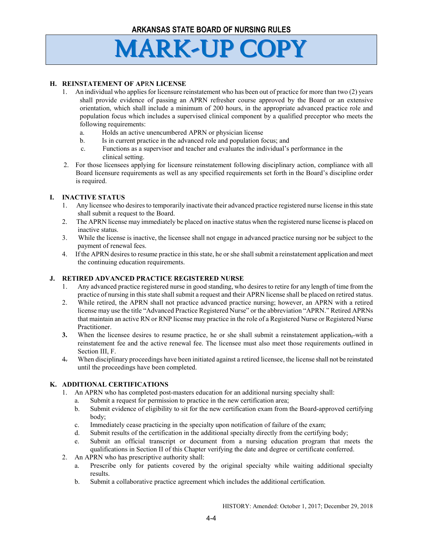## **H. REINSTATEMENT OF AP**R**N LICENSE**

- 1. An individual who applies for licensure reinstatement who has been out of practice for more than two (2) years shall provide evidence of passing an APRN refresher course approved by the Board or an extensive orientation, which shall include a minimum of 200 hours, in the appropriate advanced practice role and population focus which includes a supervised clinical component by a qualified preceptor who meets the following requirements:
	- a. Holds an active unencumbered APRN or physician license
	- b. Is in current practice in the advanced role and population focus; and
	- c. Functions as a supervisor and teacher and evaluates the individual's performance in the clinical setting.
- 2. For those licensees applying for licensure reinstatement following disciplinary action, compliance with all Board licensure requirements as well as any specified requirements set forth in the Board's discipline order is required.

### **I. INACTIVE STATUS**

- 1. Any licensee who desires to temporarily inactivate their advanced practice registered nurse license in this state shall submit a request to the Board.
- 2. The APRN license may immediately be placed on inactive status when the registered nurse license is placed on inactive status.
- 3. While the license is inactive, the licensee shall not engage in advanced practice nursing nor be subject to the payment of renewal fees.
- 4. If the APRN desires to resume practice in this state, he or she shall submit a reinstatement application and meet the continuing education requirements.

#### **J. RETIRED ADVANCED PRACTICE REGISTERED NURSE**

- 1. Any advanced practice registered nurse in good standing, who desires to retire for any length of time from the practice of nursing in this state shall submit a request and their APRN license shall be placed on retired status.
- 2. While retired, the APRN shall not practice advanced practice nursing; however, an APRN with a retired license may use the title "Advanced Practice Registered Nurse" or the abbreviation "APRN." Retired APRNs that maintain an active RN or RNP license may practice in the role of a Registered Nurse or Registered Nurse Practitioner.
- **3.** When the licensee desires to resume practice, he or she shall submit a reinstatement application,—with a reinstatement fee and the active renewal fee. The licensee must also meet those requirements outlined in Section III, F.
- 4. When disciplinary proceedings have been initiated against a retired licensee, the license shall not be reinstated until the proceedings have been completed.

## **K. ADDITIONAL CERTIFICATIONS**

- 1. An APRN who has completed post-masters education for an additional nursing specialty shall:
	- a. Submit a request for permission to practice in the new certification area;
	- b. Submit evidence of eligibility to sit for the new certification exam from the Board-approved certifying body;
	- c. Immediately cease practicing in the specialty upon notification of failure of the exam;
	- d. Submit results of the certification in the additional specialty directly from the certifying body;
	- e. Submit an official transcript or document from a nursing education program that meets the qualifications in Section II of this Chapter verifying the date and degree or certificate conferred.
- 2. An APRN who has prescriptive authority shall:
	- a. Prescribe only for patients covered by the original specialty while waiting additional specialty results.
	- b. Submit a collaborative practice agreement which includes the additional certification.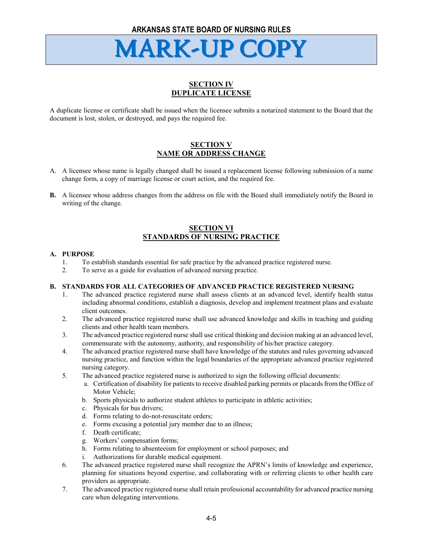## **SECTION IV DUPLICATE LICENSE**

A duplicate license or certificate shall be issued when the licensee submits a notarized statement to the Board that the document is lost, stolen, or destroyed, and pays the required fee.

## **SECTION V NAME OR ADDRESS CHANGE**

- A. A licensee whose name is legally changed shall be issued a replacement license following submission of a name change form, a copy of marriage license or court action, and the required fee.
- **B.** A licensee whose address changes from the address on file with the Board shall immediately notify the Board in writing of the change.

## **SECTION VI STANDARDS OF NURSING PRACTICE**

### **A. PURPOSE**

- 1. To establish standards essential for safe practice by the advanced practice registered nurse.
- 2. To serve as a guide for evaluation of advanced nursing practice.

#### **B. STANDARDS FOR ALL CATEGORIES OF ADVANCED PRACTICE REGISTERED NURSING**

- 1. The advanced practice registered nurse shall assess clients at an advanced level, identify health status including abnormal conditions, establish a diagnosis, develop and implement treatment plans and evaluate client outcomes.
- 2. The advanced practice registered nurse shall use advanced knowledge and skills in teaching and guiding clients and other health team members.
- 3. The advanced practice registered nurse shall use critical thinking and decision making at an advanced level, commensurate with the autonomy, authority, and responsibility of his/her practice category.
- 4. The advanced practice registered nurse shall have knowledge of the statutes and rules governing advanced nursing practice, and function within the legal boundaries of the appropriate advanced practice registered nursing category.
- 5. The advanced practice registered nurse is authorized to sign the following official documents:
	- a. Certification of disability for patients to receive disabled parking permits or placards from the Office of Motor Vehicle;
	- b. Sports physicals to authorize student athletes to participate in athletic activities;
	- c. Physicals for bus drivers;
	- d. Forms relating to do-not-resuscitate orders;
	- e. Forms excusing a potential jury member due to an illness;
	- f. Death certificate;
	- g. Workers' compensation forms;
	- h. Forms relating to absenteeism for employment or school purposes; and
	- i. Authorizations for durable medical equipment.
- 6. The advanced practice registered nurse shall recognize the APRN's limits of knowledge and experience, planning for situations beyond expertise, and collaborating with or referring clients to other health care providers as appropriate.
- 7. The advanced practice registered nurse shall retain professional accountability for advanced practice nursing care when delegating interventions.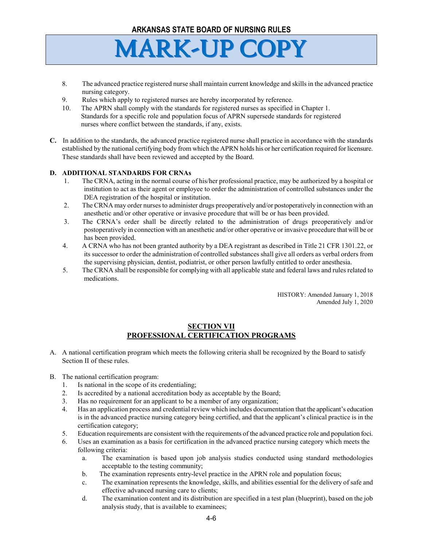

- 8. The advanced practice registered nurse shall maintain current knowledge and skills in the advanced practice nursing category.
- 9. Rules which apply to registered nurses are hereby incorporated by reference.
- 10. The APRN shall comply with the standards for registered nurses as specified in Chapter 1. Standards for a specific role and population focus of APRN supersede standards for registered nurses where conflict between the standards, if any, exists.
- **C.** In addition to the standards, the advanced practice registered nurse shall practice in accordance with the standards established by the national certifying body from which the APRN holds his or her certification required for licensure. These standards shall have been reviewed and accepted by the Board.

### **D. ADDITIONAL STANDARDS FOR CRNAs**

- 1. The CRNA, acting in the normal course of his/her professional practice, may be authorized by a hospital or institution to act as their agent or employee to order the administration of controlled substances under the DEA registration of the hospital or institution.
- 2. The CRNA may order nurses to administer drugs preoperatively and/or postoperatively in connection with an anesthetic and/or other operative or invasive procedure that will be or has been provided.
- 3. The CRNA's order shall be directly related to the administration of drugs preoperatively and/or postoperatively in connection with an anesthetic and/or other operative or invasive procedure that will be or has been provided.
- 4. A CRNA who has not been granted authority by a DEA registrant as described in Title 21 CFR 1301.22, or its successor to order the administration of controlled substances shall give all orders as verbal orders from the supervising physician, dentist, podiatrist, or other person lawfully entitled to order anesthesia.
- 5. The CRNA shall be responsible for complying with all applicable state and federal laws and rules related to medications.

HISTORY: Amended January 1, 2018 Amended July 1, 2020

## **SECTION VII PROFESSIONAL CERTIFICATION PROGRAMS**

- A. A national certification program which meets the following criteria shall be recognized by the Board to satisfy Section II of these rules.
- B. The national certification program:
	- 1. Is national in the scope of its credentialing;
	- 2. Is accredited by a national accreditation body as acceptable by the Board;
	- 3. Has no requirement for an applicant to be a member of any organization;
	- 4. Has an application process and credential review which includes documentation that the applicant's education is in the advanced practice nursing category being certified, and that the applicant's clinical practice is in the certification category;
	- 5. Education requirements are consistent with the requirements of the advanced practice role and population foci.
	- 6. Uses an examination as a basis for certification in the advanced practice nursing category which meets the following criteria:
		- a. The examination is based upon job analysis studies conducted using standard methodologies acceptable to the testing community;
		- b. The examination represents entry-level practice in the APRN role and population focus;
		- c. The examination represents the knowledge, skills, and abilities essential for the delivery of safe and effective advanced nursing care to clients;
		- d. The examination content and its distribution are specified in a test plan (blueprint), based on the job analysis study, that is available to examinees;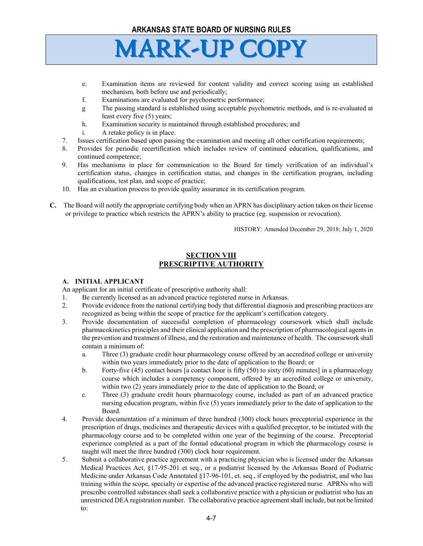

- e. Examination items are reviewed for content validity and correct scoring using an established mechanism, both before use and periodically;
- f. Examinations are evaluated for psychometric performance;
- g The passing standard is established using acceptable psychometric methods, and is re-evaluated at least every five (5) years;
- h. Examination security is maintained through established procedures; and
- i. A retake policy is in place.
- 7. Issues certification based upon passing the examination and meeting all other certification requirements;
- 8. Provides for periodic recertification which includes review of continued education, qualifications, and continued competence;
- 9. Has mechanisms in place for communication to the Board for timely verification of an individual's certification status, changes in certification status, and changes in the certification program, including qualifications, test plan, and scope of practice;
- 10. Has an evaluation process to provide quality assurance in its certification program.
- **C.** The Board will notify the appropriate certifying body when an APRN has disciplinary action taken on their license or privilege to practice which restricts the APRN's ability to practice (eg. suspension or revocation).

HISTORY: Amended December 29, 2018; July 1, 2020

## **SECTION VIII PRESCRIPTIVE AUTHORITY**

## **A. INITIAL APPLICANT**

An applicant for an initial certificate of prescriptive authority shall:

- 1. Be currently licensed as an advanced practice registered nurse in Arkansas.
- 2. Provide evidence from the national certifying body that differential diagnosis and prescribing practices are recognized as being within the scope of practice for the applicant's certification category.
- 3. Provide documentation of successful completion of pharmacology coursework which shall include pharmacokinetics principles and their clinical application and the prescription of pharmacological agents in the prevention and treatment of illness, and the restoration and maintenance of health. The coursework shall contain a minimum of:
	- a. Three (3) graduate credit hour pharmacology course offered by an accredited college or university within two years immediately prior to the date of application to the Board; or
	- b. Forty-five (45) contact hours [a contact hour is fifty (50) to sixty (60) minutes] in a pharmacology course which includes a competency component, offered by an accredited college or university, within two (2) years immediately prior to the date of application to the Board; or
	- c. Three (3) graduate credit hours pharmacology course, included as part of an advanced practice nursing education program, within five (5) years immediately prior to the date of application to the Board.
- 4. Provide documentation of a minimum of three hundred (300) clock hours preceptorial experience in the prescription of drugs, medicines and therapeutic devices with a qualified preceptor, to be initiated with the pharmacology course and to be completed within one year of the beginning of the course. Preceptorial experience completed as a part of the formal educational program in which the pharmacology course is taught will meet the three hundred (300) clock hour requirement.
- 5. Submit a collaborative practice agreement with a practicing physician who is licensed under the Arkansas Medical Practices Act, §17-95-201 et seq., or a podiatrist licensed by the Arkansas Board of Podiatric Medicine under Arkansas Code Annotated §17-96-101, et. seq., if employed by the podiatrist, and who has training within the scope, specialty or expertise of the advanced practice registered nurse. APRNs who will prescribe controlled substances shall seek a collaborative practice with a physician or podiatrist who has an unrestricted DEA registration number. The collaborative practice agreement shall include, but not be limited to: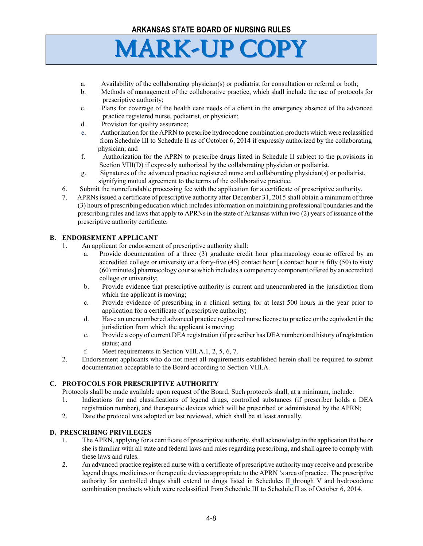- a. Availability of the collaborating physician(s) or podiatrist for consultation or referral or both;
- b. Methods of management of the collaborative practice, which shall include the use of protocols for prescriptive authority;
- c. Plans for coverage of the health care needs of a client in the emergency absence of the advanced practice registered nurse, podiatrist, or physician;
- d. Provision for quality assurance;
- e. Authorization for the APRN to prescribe hydrocodone combination products which were reclassified from Schedule III to Schedule II as of October 6, 2014 if expressly authorized by the collaborating physician; and
- f. Authorization for the APRN to prescribe drugs listed in Schedule II subject to the provisions in Section VIII(D) if expressly authorized by the collaborating physician or podiatrist.
- g. Signatures of the advanced practice registered nurse and collaborating physician(s) or podiatrist, signifying mutual agreement to the terms of the collaborative practice.
- 6. Submit the nonrefundable processing fee with the application for a certificate of prescriptive authority.
- 7. APRNs issued a certificate of prescriptive authority after December 31, 2015 shall obtain a minimum of three (3) hours of prescribing education which includes information on maintaining professional boundaries and the prescribing rules and laws that apply to APRNs in the state of Arkansas within two (2) years of issuance of the prescriptive authority certificate.

## **B. ENDORSEMENT APPLICANT**

- 1. An applicant for endorsement of prescriptive authority shall:
	- Provide documentation of a three (3) graduate credit hour pharmacology course offered by an accredited college or university or a forty-five (45) contact hour [a contact hour is fifty (50) to sixty (60) minutes] pharmacology course which includes a competency component offered by an accredited college or university;
	- b. Provide evidence that prescriptive authority is current and unencumbered in the jurisdiction from which the applicant is moving;
	- c. Provide evidence of prescribing in a clinical setting for at least 500 hours in the year prior to application for a certificate of prescriptive authority;
	- d. Have an unencumbered advanced practice registered nurse license to practice or the equivalent in the jurisdiction from which the applicant is moving;
	- e. Provide a copy of current DEA registration (if prescriber has DEA number) and history of registration status; and
	- f. Meet requirements in Section VIII.A.1, 2, 5, 6, 7.
- 2. Endorsement applicants who do not meet all requirements established herein shall be required to submit documentation acceptable to the Board according to Section VIII.A.

## **C. PROTOCOLS FOR PRESCRIPTIVE AUTHORITY**

Protocols shall be made available upon request of the Board. Such protocols shall, at a minimum, include:

- 1. Indications for and classifications of legend drugs, controlled substances (if prescriber holds a DEA registration number), and therapeutic devices which will be prescribed or administered by the APRN;
- 2. Date the protocol was adopted or last reviewed, which shall be at least annually.

#### **D. PRESCRIBING PRIVILEGES**

- 1. The APRN, applying for a certificate of prescriptive authority, shall acknowledge in the application that he or she is familiar with all state and federal laws and rules regarding prescribing, and shall agree to comply with these laws and rules.
- 2. An advanced practice registered nurse with a certificate of prescriptive authority may receive and prescribe legend drugs, medicines or therapeutic devices appropriate to the APRN 's area of practice. The prescriptive authority for controlled drugs shall extend to drugs listed in Schedules II through V and hydrocodone combination products which were reclassified from Schedule III to Schedule II as of October 6, 2014.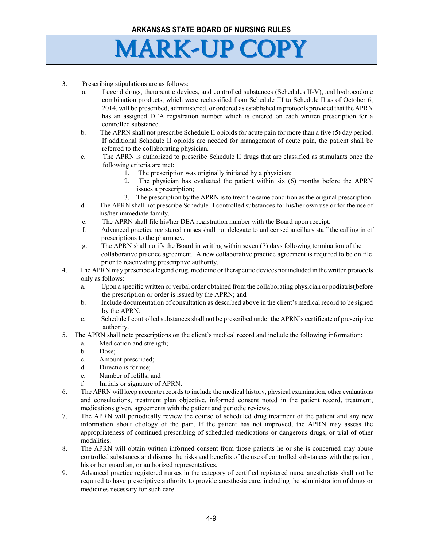- 3. Prescribing stipulations are as follows:
	- a. Legend drugs, therapeutic devices, and controlled substances (Schedules II-V), and hydrocodone combination products, which were reclassified from Schedule III to Schedule II as of October 6, 2014, will be prescribed, administered, or ordered as established in protocols provided that the APRN has an assigned DEA registration number which is entered on each written prescription for a controlled substance.
	- b. The APRN shall not prescribe Schedule II opioids for acute pain for more than a five (5) day period. If additional Schedule II opioids are needed for management of acute pain, the patient shall be referred to the collaborating physician.
	- c. The APRN is authorized to prescribe Schedule II drugs that are classified as stimulants once the following criteria are met:
		- 1. The prescription was originally initiated by a physician;
		- 2. The physician has evaluated the patient within six (6) months before the APRN issues a prescription;
		- 3. The prescription by the APRN is to treat the same condition as the original prescription.
	- d. The APRN shall not prescribe Schedule II controlled substances for his/her own use or for the use of his/her immediate family.
	- e. The APRN shall file his/her DEA registration number with the Board upon receipt.
	- f. Advanced practice registered nurses shall not delegate to unlicensed ancillary staff the calling in of prescriptions to the pharmacy.
	- g. The APRN shall notify the Board in writing within seven (7) days following termination of the collaborative practice agreement. A new collaborative practice agreement is required to be on file prior to reactivating prescriptive authority.
- 4. The APRN may prescribe a legend drug, medicine or therapeutic devices not included in the written protocols only as follows:
	- a. Upon a specific written or verbal order obtained from the collaborating physician or podiatrist before the prescription or order is issued by the APRN; and
	- b. Include documentation of consultation as described above in the client's medical record to be signed by the APRN;
	- c. Schedule I controlled substances shall not be prescribed under the APRN's certificate of prescriptive authority.
- 5. The APRN shall note prescriptions on the client's medical record and include the following information:
	- a. Medication and strength;
	- b. Dose;
	- c. Amount prescribed;
	- d. Directions for use;
	- e. Number of refills; and
	- f. Initials or signature of APRN.
- 6. The APRN will keep accurate records to include the medical history, physical examination, other evaluations and consultations, treatment plan objective, informed consent noted in the patient record, treatment, medications given, agreements with the patient and periodic reviews.
- 7. The APRN will periodically review the course of scheduled drug treatment of the patient and any new information about etiology of the pain. If the patient has not improved, the APRN may assess the appropriateness of continued prescribing of scheduled medications or dangerous drugs, or trial of other modalities.
- 8. The APRN will obtain written informed consent from those patients he or she is concerned may abuse controlled substances and discuss the risks and benefits of the use of controlled substances with the patient, his or her guardian, or authorized representatives.
- 9. Advanced practice registered nurses in the category of certified registered nurse anesthetists shall not be required to have prescriptive authority to provide anesthesia care, including the administration of drugs or medicines necessary for such care.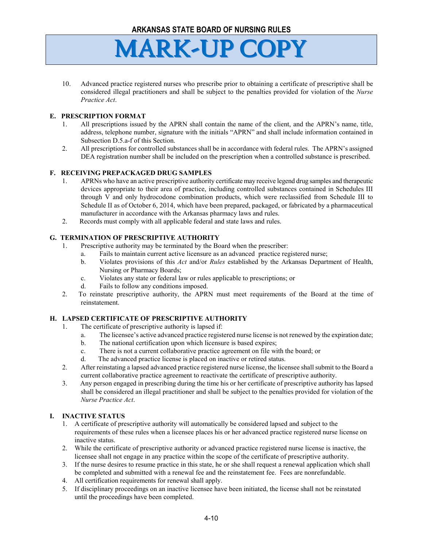

10. Advanced practice registered nurses who prescribe prior to obtaining a certificate of prescriptive shall be considered illegal practitioners and shall be subject to the penalties provided for violation of the *Nurse Practice Act*.

#### **E. PRESCRIPTION FORMAT**

- 1. All prescriptions issued by the APRN shall contain the name of the client, and the APRN's name, title, address, telephone number, signature with the initials "APRN" and shall include information contained in Subsection D.5.a-f of this Section.
- 2. All prescriptions for controlled substances shall be in accordance with federal rules. The APRN's assigned DEA registration number shall be included on the prescription when a controlled substance is prescribed.

### **F. RECEIVING PREPACKAGED DRUG SAMPLES**

- 1. APRNs who have an active prescriptive authority certificate may receive legend drug samples and therapeutic devices appropriate to their area of practice, including controlled substances contained in Schedules III through V and only hydrocodone combination products, which were reclassified from Schedule III to Schedule II as of October 6, 2014, which have been prepared, packaged, or fabricated by a pharmaceutical manufacturer in accordance with the Arkansas pharmacy laws and rules.
- 2. Records must comply with all applicable federal and state laws and rules.

### **G. TERMINATION OF PRESCRIPTIVE AUTHORITY**

- 1. Prescriptive authority may be terminated by the Board when the prescriber:
	- a. Fails to maintain current active licensure as an advanced practice registered nurse;
	- b. Violates provisions of this *Act* and/or *Rules* established by the Arkansas Department of Health, Nursing or Pharmacy Boards;
	- c. Violates any state or federal law or rules applicable to prescriptions; or
	- d. Fails to follow any conditions imposed.
- 2. To reinstate prescriptive authority, the APRN must meet requirements of the Board at the time of reinstatement.

## **H. LAPSED CERTIFICATE OF PRESCRIPTIVE AUTHORITY**

- 1. The certificate of prescriptive authority is lapsed if:
	- a. The licensee's active advanced practice registered nurse license is not renewed by the expiration date;
	- b. The national certification upon which licensure is based expires;
	- c. There is not a current collaborative practice agreement on file with the board; or
	- d. The advanced practice license is placed on inactive or retired status.
- 2. After reinstating a lapsed advanced practice registered nurse license, the licensee shall submit to the Board a current collaborative practice agreement to reactivate the certificate of prescriptive authority.
- 3. Any person engaged in prescribing during the time his or her certificate of prescriptive authority has lapsed shall be considered an illegal practitioner and shall be subject to the penalties provided for violation of the *Nurse Practice Act*.

#### **I. INACTIVE STATUS**

- 1. A certificate of prescriptive authority will automatically be considered lapsed and subject to the requirements of these rules when a licensee places his or her advanced practice registered nurse license on inactive status.
- 2. While the certificate of prescriptive authority or advanced practice registered nurse license is inactive, the licensee shall not engage in any practice within the scope of the certificate of prescriptive authority.
- 3. If the nurse desires to resume practice in this state, he or she shall request a renewal application which shall be completed and submitted with a renewal fee and the reinstatement fee. Fees are nonrefundable.
- 4. All certification requirements for renewal shall apply.
- 5. If disciplinary proceedings on an inactive licensee have been initiated, the license shall not be reinstated until the proceedings have been completed.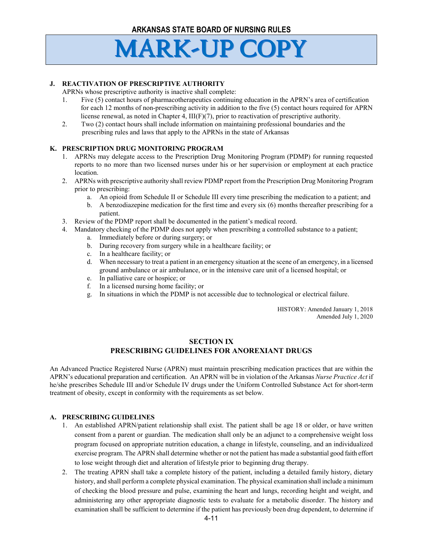## **J. REACTIVATION OF PRESCRIPTIVE AUTHORITY**

APRNs whose prescriptive authority is inactive shall complete:

- 1. Five (5) contact hours of pharmacotherapeutics continuing education in the APRN's area of certification for each 12 months of non-prescribing activity in addition to the five (5) contact hours required for APRN license renewal, as noted in Chapter 4,  $III(F)(7)$ , prior to reactivation of prescriptive authority.
- 2. Two (2) contact hours shall include information on maintaining professional boundaries and the prescribing rules and laws that apply to the APRNs in the state of Arkansas

### **K. PRESCRIPTION DRUG MONITORING PROGRAM**

- 1. APRNs may delegate access to the Prescription Drug Monitoring Program (PDMP) for running requested reports to no more than two licensed nurses under his or her supervision or employment at each practice location.
- 2. APRNs with prescriptive authority shall review PDMP report from the Prescription Drug Monitoring Program prior to prescribing:
	- a. An opioid from Schedule II or Schedule III every time prescribing the medication to a patient; and
	- b. A benzodiazepine medication for the first time and every six (6) months thereafter prescribing for a patient.
- 3. Review of the PDMP report shall be documented in the patient's medical record.
- 4. Mandatory checking of the PDMP does not apply when prescribing a controlled substance to a patient;
	- a. Immediately before or during surgery; or
	- b. During recovery from surgery while in a healthcare facility; or
	- c. In a healthcare facility; or
	- d. When necessary to treat a patient in an emergency situation at the scene of an emergency, in a licensed ground ambulance or air ambulance, or in the intensive care unit of a licensed hospital; or
	- e. In palliative care or hospice; or
	- f. In a licensed nursing home facility; or
	- g. In situations in which the PDMP is not accessible due to technological or electrical failure.

HISTORY: Amended January 1, 2018 Amended July 1, 2020

## **SECTION IX PRESCRIBING GUIDELINES FOR ANOREXIANT DRUGS**

An Advanced Practice Registered Nurse (APRN) must maintain prescribing medication practices that are within the APRN's educational preparation and certification. An APRN will be in violation of the Arkansas *Nurse Practice Act* if he/she prescribes Schedule III and/or Schedule IV drugs under the Uniform Controlled Substance Act for short-term treatment of obesity, except in conformity with the requirements as set below.

#### **A. PRESCRIBING GUIDELINES**

- 1. An established APRN/patient relationship shall exist. The patient shall be age 18 or older, or have written consent from a parent or guardian. The medication shall only be an adjunct to a comprehensive weight loss program focused on appropriate nutrition education, a change in lifestyle, counseling, and an individualized exercise program. The APRN shall determine whether or not the patient has made a substantial good faith effort to lose weight through diet and alteration of lifestyle prior to beginning drug therapy.
- 2. The treating APRN shall take a complete history of the patient, including a detailed family history, dietary history, and shall perform a complete physical examination. The physical examination shall include a minimum of checking the blood pressure and pulse, examining the heart and lungs, recording height and weight, and administering any other appropriate diagnostic tests to evaluate for a metabolic disorder. The history and examination shall be sufficient to determine if the patient has previously been drug dependent, to determine if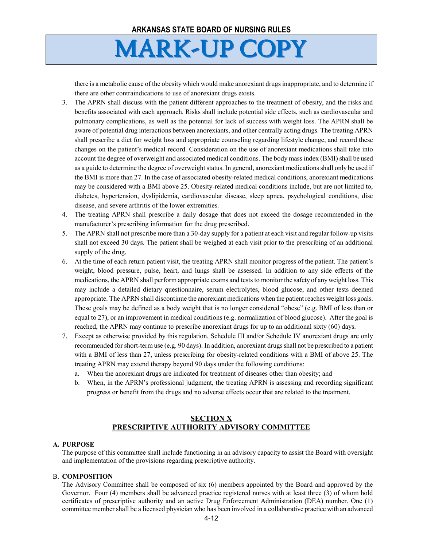there is a metabolic cause of the obesity which would make anorexiant drugs inappropriate, and to determine if there are other contraindications to use of anorexiant drugs exists.

- 3. The APRN shall discuss with the patient different approaches to the treatment of obesity, and the risks and benefits associated with each approach. Risks shall include potential side effects, such as cardiovascular and pulmonary complications, as well as the potential for lack of success with weight loss. The APRN shall be aware of potential drug interactions between anorexiants, and other centrally acting drugs. The treating APRN shall prescribe a diet for weight loss and appropriate counseling regarding lifestyle change, and record these changes on the patient's medical record. Consideration on the use of anorexiant medications shall take into account the degree of overweight and associated medical conditions. The body mass index (BMI) shall be used as a guide to determine the degree of overweight status. In general, anorexiant medications shall only be used if the BMI is more than 27. In the case of associated obesity-related medical conditions, anorexiant medications may be considered with a BMI above 25. Obesity-related medical conditions include, but are not limited to, diabetes, hypertension, dyslipidemia, cardiovascular disease, sleep apnea, psychological conditions, disc disease, and severe arthritis of the lower extremities.
- 4. The treating APRN shall prescribe a daily dosage that does not exceed the dosage recommended in the manufacturer's prescribing information for the drug prescribed.
- 5. The APRN shall not prescribe more than a 30-day supply for a patient at each visit and regular follow-up visits shall not exceed 30 days. The patient shall be weighed at each visit prior to the prescribing of an additional supply of the drug.
- 6. At the time of each return patient visit, the treating APRN shall monitor progress of the patient. The patient's weight, blood pressure, pulse, heart, and lungs shall be assessed. In addition to any side effects of the medications, the APRN shall perform appropriate exams and tests to monitor the safety of any weight loss. This may include a detailed dietary questionnaire, serum electrolytes, blood glucose, and other tests deemed appropriate. The APRN shall discontinue the anorexiant medications when the patient reaches weight loss goals. These goals may be defined as a body weight that is no longer considered "obese" (e.g. BMI of less than or equal to 27), or an improvement in medical conditions (e.g. normalization of blood glucose). After the goal is reached, the APRN may continue to prescribe anorexiant drugs for up to an additional sixty (60) days.
- 7. Except as otherwise provided by this regulation, Schedule III and/or Schedule IV anorexiant drugs are only recommended for short-term use (e.g. 90 days). In addition, anorexiant drugs shall not be prescribed to a patient with a BMI of less than 27, unless prescribing for obesity-related conditions with a BMI of above 25. The treating APRN may extend therapy beyond 90 days under the following conditions:
	- a. When the anorexiant drugs are indicated for treatment of diseases other than obesity; and
	- b. When, in the APRN's professional judgment, the treating APRN is assessing and recording significant progress or benefit from the drugs and no adverse effects occur that are related to the treatment.

## **SECTION X PRESCRIPTIVE AUTHORITY ADVISORY COMMITTEE**

#### **A. PURPOSE**

The purpose of this committee shall include functioning in an advisory capacity to assist the Board with oversight and implementation of the provisions regarding prescriptive authority.

#### B. **COMPOSITION**

The Advisory Committee shall be composed of six (6) members appointed by the Board and approved by the Governor. Four (4) members shall be advanced practice registered nurses with at least three (3) of whom hold certificates of prescriptive authority and an active Drug Enforcement Administration (DEA) number. One (1) committee member shall be a licensed physician who has been involved in a collaborative practice with an advanced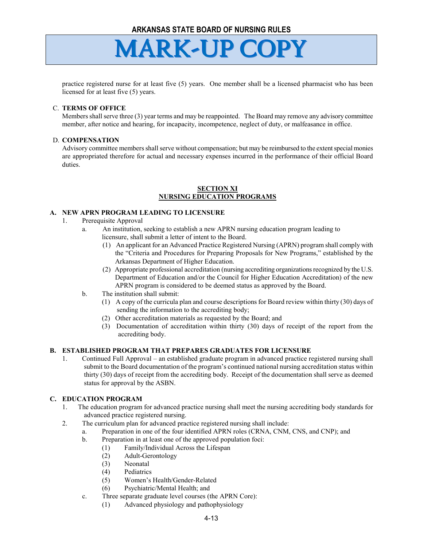

practice registered nurse for at least five (5) years. One member shall be a licensed pharmacist who has been licensed for at least five (5) years.

#### C. **TERMS OF OFFICE**

Members shall serve three (3) year terms and may be reappointed. The Board may remove any advisory committee member, after notice and hearing, for incapacity, incompetence, neglect of duty, or malfeasance in office.

#### D. **COMPENSATION**

Advisory committee members shall serve without compensation; but may be reimbursed to the extent special monies are appropriated therefore for actual and necessary expenses incurred in the performance of their official Board duties.

#### **SECTION XI NURSING EDUCATION PROGRAMS**

#### **A. NEW APRN PROGRAM LEADING TO LICENSURE**

- 1. Prerequisite Approval
	- a. An institution, seeking to establish a new APRN nursing education program leading to licensure, shall submit a letter of intent to the Board.
		- (1) An applicant for an Advanced Practice Registered Nursing (APRN) program shall comply with the "Criteria and Procedures for Preparing Proposals for New Programs," established by the Arkansas Department of Higher Education.
		- (2) Appropriate professional accreditation (nursing accrediting organizationsrecognized by the U.S. Department of Education and/or the Council for Higher Education Accreditation) of the new APRN program is considered to be deemed status as approved by the Board.
	- b. The institution shall submit:
		- (1) A copy of the curricula plan and course descriptions for Board review within thirty (30) days of sending the information to the accrediting body;
		- (2) Other accreditation materials as requested by the Board; and
		- (3) Documentation of accreditation within thirty (30) days of receipt of the report from the accrediting body.

#### **B. ESTABLISHED PROGRAM THAT PREPARES GRADUATES FOR LICENSURE**

1. Continued Full Approval – an established graduate program in advanced practice registered nursing shall submit to the Board documentation of the program's continued national nursing accreditation status within thirty (30) days of receipt from the accrediting body. Receipt of the documentation shall serve as deemed status for approval by the ASBN.

#### **C. EDUCATION PROGRAM**

- 1. The education program for advanced practice nursing shall meet the nursing accrediting body standards for advanced practice registered nursing.
- 2. The curriculum plan for advanced practice registered nursing shall include:
	- a. Preparation in one of the four identified APRN roles (CRNA, CNM, CNS, and CNP); and
	- b. Preparation in at least one of the approved population foci:
		- (1) Family/Individual Across the Lifespan
		- (2) Adult-Gerontology
		- (3) Neonatal
		- (4) Pediatrics
		- (5) Women's Health/Gender-Related
		- (6) Psychiatric/Mental Health; and
	- c. Three separate graduate level courses (the APRN Core):
		- (1) Advanced physiology and pathophysiology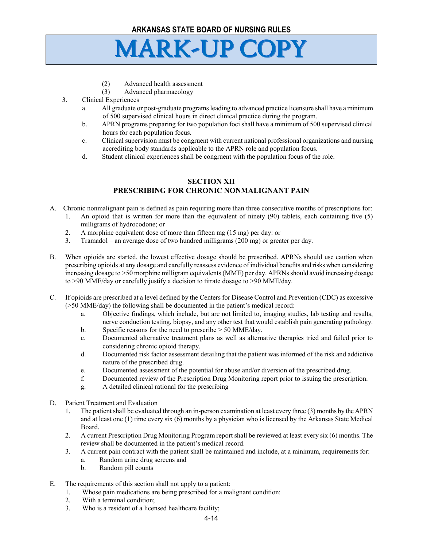- (2) Advanced health assessment
- (3) Advanced pharmacology
- 3. Clinical Experiences
	- a. All graduate or post-graduate programs leading to advanced practice licensure shall have a minimum of 500 supervised clinical hours in direct clinical practice during the program.
	- b. APRN programs preparing for two population foci shall have a minimum of 500 supervised clinical hours for each population focus.
	- c. Clinical supervision must be congruent with current national professional organizations and nursing accrediting body standards applicable to the APRN role and population focus.
	- d. Student clinical experiences shall be congruent with the population focus of the role.

## **SECTION XII PRESCRIBING FOR CHRONIC NONMALIGNANT PAIN**

- A. Chronic nonmalignant pain is defined as pain requiring more than three consecutive months of prescriptions for:
	- 1. An opioid that is written for more than the equivalent of ninety (90) tablets, each containing five (5) milligrams of hydrocodone; or
	- 2. A morphine equivalent dose of more than fifteen mg (15 mg) per day: or
	- 3. Tramadol an average dose of two hundred milligrams (200 mg) or greater per day.
- B. When opioids are started, the lowest effective dosage should be prescribed. APRNs should use caution when prescribing opioids at any dosage and carefully reassess evidence of individual benefits and risks when considering increasing dosage to >50 morphine milligram equivalents (MME) per day. APRNs should avoid increasing dosage to >90 MME/day or carefully justify a decision to titrate dosage to >90 MME/day.
- C. If opioids are prescribed at a level defined by the Centers for Disease Control and Prevention (CDC) as excessive (>50 MME/day) the following shall be documented in the patient's medical record:
	- a. Objective findings, which include, but are not limited to, imaging studies, lab testing and results, nerve conduction testing, biopsy, and any other test that would establish pain generating pathology.
	- b. Specific reasons for the need to prescribe > 50 MME/day.
	- c. Documented alternative treatment plans as well as alternative therapies tried and failed prior to considering chronic opioid therapy.
	- d. Documented risk factor assessment detailing that the patient was informed of the risk and addictive nature of the prescribed drug.
	- e. Documented assessment of the potential for abuse and/or diversion of the prescribed drug.
	- f. Documented review of the Prescription Drug Monitoring report prior to issuing the prescription.
	- g. A detailed clinical rational for the prescribing
- D. Patient Treatment and Evaluation
	- 1. The patient shall be evaluated through an in-person examination at least every three (3) months by the APRN and at least one (1) time every six (6) months by a physician who is licensed by the Arkansas State Medical Board.
	- 2. A current Prescription Drug Monitoring Program report shall be reviewed at least every six (6) months. The review shall be documented in the patient's medical record.
	- 3. A current pain contract with the patient shall be maintained and include, at a minimum, requirements for:
		- a. Random urine drug screens and
		- b. Random pill counts
- E. The requirements of this section shall not apply to a patient:
	- 1. Whose pain medications are being prescribed for a malignant condition:
	- 2. With a terminal condition;
	- 3. Who is a resident of a licensed healthcare facility;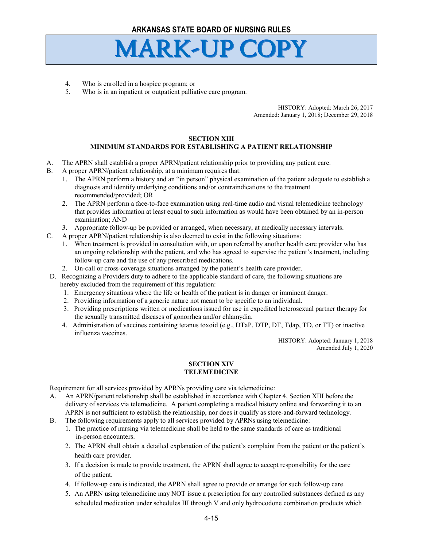- 4. Who is enrolled in a hospice program; or
- 5. Who is in an inpatient or outpatient palliative care program.

HISTORY: Adopted: March 26, 2017 Amended: January 1, 2018; December 29, 2018

## **SECTION XIII**

### **MINIMUM STANDARDS FOR ESTABLISHING A PATIENT RELATIONSHIP**

- A. The APRN shall establish a proper APRN/patient relationship prior to providing any patient care.
- B. A proper APRN/patient relationship, at a minimum requires that:
	- 1. The APRN perform a history and an "in person" physical examination of the patient adequate to establish a diagnosis and identify underlying conditions and/or contraindications to the treatment recommended/provided; OR
	- 2. The APRN perform a face-to-face examination using real-time audio and visual telemedicine technology that provides information at least equal to such information as would have been obtained by an in-person examination; AND
	- 3. Appropriate follow-up be provided or arranged, when necessary, at medically necessary intervals.
- C. A proper APRN/patient relationship is also deemed to exist in the following situations:
	- 1. When treatment is provided in consultation with, or upon referral by another health care provider who has an ongoing relationship with the patient, and who has agreed to supervise the patient's treatment, including follow-up care and the use of any prescribed medications.
	- 2. On-call or cross-coverage situations arranged by the patient's health care provider.
- D. Recognizing a Providers duty to adhere to the applicable standard of care, the following situations are hereby excluded from the requirement of this regulation:
	- 1. Emergency situations where the life or health of the patient is in danger or imminent danger.
	- 2. Providing information of a generic nature not meant to be specific to an individual.
	- 3. Providing prescriptions written or medications issued for use in expedited heterosexual partner therapy for the sexually transmitted diseases of gonorrhea and/or chlamydia.
	- 4. Administration of vaccines containing tetanus toxoid (e.g., DTaP, DTP, DT, Tdap, TD, or TT) or inactive influenza vaccines.

HISTORY: Adopted: January 1, 2018 Amended July 1, 2020

#### **SECTION XIV TELEMEDICINE**

Requirement for all services provided by APRNs providing care via telemedicine:

- A. An APRN/patient relationship shall be established in accordance with Chapter 4, Section XIII before the delivery of services via telemedicine. A patient completing a medical history online and forwarding it to an APRN is not sufficient to establish the relationship, nor does it qualify as store-and-forward technology.
- B. The following requirements apply to all services provided by APRNs using telemedicine:
	- 1. The practice of nursing via telemedicine shall be held to the same standards of care as traditional in-person encounters.
	- 2. The APRN shall obtain a detailed explanation of the patient's complaint from the patient or the patient's health care provider.
	- 3. If a decision is made to provide treatment, the APRN shall agree to accept responsibility for the care of the patient.
	- 4. If follow-up care is indicated, the APRN shall agree to provide or arrange for such follow-up care.
	- 5. An APRN using telemedicine may NOT issue a prescription for any controlled substances defined as any scheduled medication under schedules III through V and only hydrocodone combination products which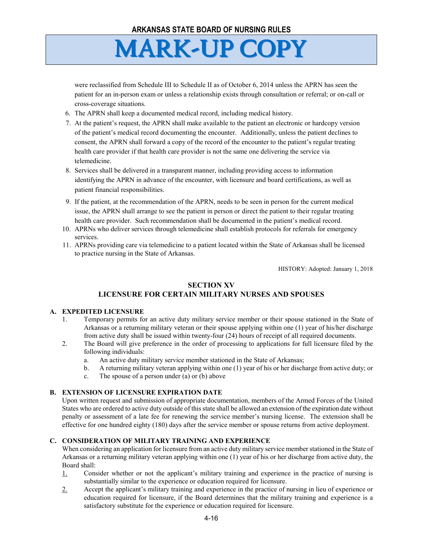were reclassified from Schedule III to Schedule II as of October 6, 2014 unless the APRN has seen the patient for an in-person exam or unless a relationship exists through consultation or referral; or on-call or cross-coverage situations.

- 6. The APRN shall keep a documented medical record, including medical history.
- 7. At the patient's request, the APRN shall make available to the patient an electronic or hardcopy version of the patient's medical record documenting the encounter. Additionally, unless the patient declines to consent, the APRN shall forward a copy of the record of the encounter to the patient's regular treating health care provider if that health care provider is not the same one delivering the service via telemedicine.
- 8. Services shall be delivered in a transparent manner, including providing access to information identifying the APRN in advance of the encounter, with licensure and board certifications, as well as patient financial responsibilities.
- 9. If the patient, at the recommendation of the APRN, needs to be seen in person for the current medical issue, the APRN shall arrange to see the patient in person or direct the patient to their regular treating health care provider. Such recommendation shall be documented in the patient's medical record.
- 10. APRNs who deliver services through telemedicine shall establish protocols for referrals for emergency services.
- 11. APRNs providing care via telemedicine to a patient located within the State of Arkansas shall be licensed to practice nursing in the State of Arkansas.

HISTORY: Adopted: January 1, 2018

## **SECTION XV LICENSURE FOR CERTAIN MILITARY NURSES AND SPOUSES**

#### **A. EXPEDITED LICENSURE**

- 1. Temporary permits for an active duty military service member or their spouse stationed in the State of Arkansas or a returning military veteran or their spouse applying within one (1) year of his/her discharge from active duty shall be issued within twenty-four (24) hours of receipt of all required documents.
- 2. The Board will give preference in the order of processing to applications for full licensure filed by the following individuals:
	- a. An active duty military service member stationed in the State of Arkansas;
	- b. A returning military veteran applying within one (1) year of his or her discharge from active duty; or
	- c. The spouse of a person under (a) or (b) above

## **B. EXTENSION OF LICENSURE EXPIRATION DATE**

Upon written request and submission of appropriate documentation, members of the Armed Forces of the United States who are ordered to active duty outside of this state shall be allowed an extension of the expiration date without penalty or assessment of a late fee for renewing the service member's nursing license. The extension shall be effective for one hundred eighty (180) days after the service member or spouse returns from active deployment.

## **C. CONSIDERATION OF MILITARY TRAINING AND EXPERIENCE**

When considering an application for licensure from an active duty military service member stationed in the State of Arkansas or a returning military veteran applying within one (1) year of his or her discharge from active duty, the Board shall:

- 1. Consider whether or not the applicant's military training and experience in the practice of nursing is substantially similar to the experience or education required for licensure.
- 2. Accept the applicant's military training and experience in the practice of nursing in lieu of experience or education required for licensure, if the Board determines that the military training and experience is a satisfactory substitute for the experience or education required for licensure.